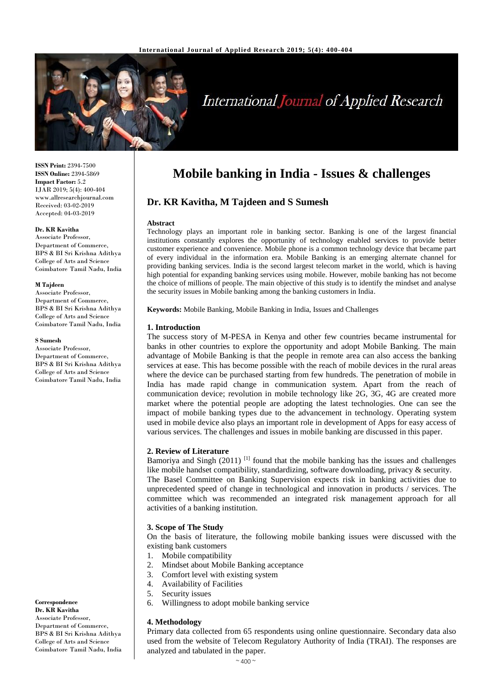

# **International Journal of Applied Research**

**ISSN Print:** 2394-7500 **ISSN Online:** 2394-5869 **Impact Factor:** 5.2 IJAR 2019; 5(4): 400-404 www.allresearchjournal.com Received: 03-02-2019 Accepted: 04-03-2019

#### **Dr. KR Kavitha**

Associate Professor, Department of Commerce, BPS & BI Sri Krishna Adithya College of Arts and Science Coimbatore Tamil Nadu, India

#### **M Tajdeen**

Associate Professor, Department of Commerce, BPS & BI Sri Krishna Adithya College of Arts and Science Coimbatore Tamil Nadu, India

#### **S Sumesh**

Associate Professor, Department of Commerce, BPS & BI Sri Krishna Adithya College of Arts and Science Coimbatore Tamil Nadu, India

**Correspondence Dr. KR Kavitha**  Associate Professor, Department of Commerce, BPS & BI Sri Krishna Adithya College of Arts and Science Coimbatore Tamil Nadu, India

## **Mobile banking in India - Issues & challenges**

## **Dr. KR Kavitha, M Tajdeen and S Sumesh**

#### **Abstract**

Technology plays an important role in banking sector. Banking is one of the largest financial institutions constantly explores the opportunity of technology enabled services to provide better customer experience and convenience. Mobile phone is a common technology device that became part of every individual in the information era. Mobile Banking is an emerging alternate channel for providing banking services. India is the second largest telecom market in the world, which is having high potential for expanding banking services using mobile. However, mobile banking has not become the choice of millions of people. The main objective of this study is to identify the mindset and analyse the security issues in Mobile banking among the banking customers in India.

**Keywords:** Mobile Banking, Mobile Banking in India, Issues and Challenges

#### **1. Introduction**

The success story of M-PESA in Kenya and other few countries became instrumental for banks in other countries to explore the opportunity and adopt Mobile Banking. The main advantage of Mobile Banking is that the people in remote area can also access the banking services at ease. This has become possible with the reach of mobile devices in the rural areas where the device can be purchased starting from few hundreds. The penetration of mobile in India has made rapid change in communication system. Apart from the reach of communication device; revolution in mobile technology like 2G, 3G, 4G are created more market where the potential people are adopting the latest technologies. One can see the impact of mobile banking types due to the advancement in technology. Operating system used in mobile device also plays an important role in development of Apps for easy access of various services. The challenges and issues in mobile banking are discussed in this paper.

#### **2. Review of Literature**

Bamoriya and Singh  $(2011)$ <sup>[1]</sup> found that the mobile banking has the issues and challenges like mobile handset compatibility, standardizing, software downloading, privacy & security.

The Basel Committee on Banking Supervision expects risk in banking activities due to unprecedented speed of change in technological and innovation in products / services. The committee which was recommended an integrated risk management approach for all activities of a banking institution.

#### **3. Scope of The Study**

On the basis of literature, the following mobile banking issues were discussed with the existing bank customers

- 1. Mobile compatibility
- 2. Mindset about Mobile Banking acceptance
- 3. Comfort level with existing system
- 4. Availability of Facilities
- 5. Security issues
- 6. Willingness to adopt mobile banking service

#### **4. Methodology**

Primary data collected from 65 respondents using online questionnaire. Secondary data also used from the website of Telecom Regulatory Authority of India (TRAI). The responses are analyzed and tabulated in the paper.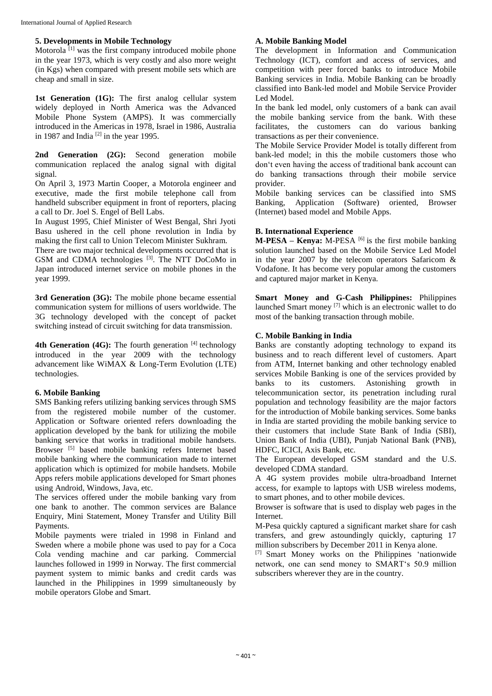## **5. Developments in Mobile Technology**

Motorola<sup>[1]</sup> was the first company introduced mobile phone in the year 1973, which is very costly and also more weight (in Kgs) when compared with present mobile sets which are cheap and small in size.

1st Generation (1G): The first analog cellular system widely deployed in North America was the Advanced Mobile Phone System (AMPS). It was commercially introduced in the Americas in 1978, Israel in 1986, Australia in 1987 and India<sup>[2]</sup> in the year 1995.

**2nd Generation (2G):** Second generation mobile communication replaced the analog signal with digital signal.

On April 3, 1973 Martin Cooper, a Motorola engineer and executive, made the first mobile telephone call from handheld subscriber equipment in front of reporters, placing a call to Dr. Joel S. Engel of Bell Labs.

In August 1995, Chief Minister of West Bengal, Shri Jyoti Basu ushered in the cell phone revolution in India by making the first call to Union Telecom Minister Sukhram.

There are two major technical developments occurred that is GSM and CDMA technologies <sup>[3]</sup>. The NTT DoCoMo in Japan introduced internet service on mobile phones in the year 1999.

**3rd Generation (3G):** The mobile phone became essential communication system for millions of users worldwide. The 3G technology developed with the concept of packet switching instead of circuit switching for data transmission.

4th Generation (4G): The fourth generation [4] technology introduced in the year 2009 with the technology advancement like WiMAX & Long-Term Evolution (LTE) technologies.

## **6. Mobile Banking**

SMS Banking refers utilizing banking services through SMS from the registered mobile number of the customer. Application or Software oriented refers downloading the application developed by the bank for utilizing the mobile banking service that works in traditional mobile handsets. Browser<sup>[5]</sup> based mobile banking refers Internet based mobile banking where the communication made to internet application which is optimized for mobile handsets. Mobile Apps refers mobile applications developed for Smart phones using Android, Windows, Java, etc.

The services offered under the mobile banking vary from one bank to another. The common services are Balance Enquiry, Mini Statement, Money Transfer and Utility Bill Payments.

Mobile payments were trialed in 1998 in Finland and Sweden where a mobile phone was used to pay for a Coca Cola vending machine and car parking. Commercial launches followed in 1999 in Norway. The first commercial payment system to mimic banks and credit cards was launched in the Philippines in 1999 simultaneously by mobile operators Globe and Smart.

## **A. Mobile Banking Model**

The development in Information and Communication Technology (ICT), comfort and access of services, and competition with peer forced banks to introduce Mobile Banking services in India. Mobile Banking can be broadly classified into Bank-led model and Mobile Service Provider Led Model.

In the bank led model, only customers of a bank can avail the mobile banking service from the bank. With these facilitates, the customers can do various banking transactions as per their convenience.

The Mobile Service Provider Model is totally different from bank-led model; in this the mobile customers those who don't even having the access of traditional bank account can do banking transactions through their mobile service provider.

Mobile banking services can be classified into SMS Banking, Application (Software) oriented, Browser (Internet) based model and Mobile Apps.

#### **B. International Experience**

**M-PESA – Kenya:** M-PESA [6] is the first mobile banking solution launched based on the Mobile Service Led Model in the year 2007 by the telecom operators Safaricom & Vodafone. It has become very popular among the customers and captured major market in Kenya.

**Smart Money and G-Cash Philippines:** Philippines launched Smart money [7] which is an electronic wallet to do most of the banking transaction through mobile.

#### **C. Mobile Banking in India**

Banks are constantly adopting technology to expand its business and to reach different level of customers. Apart from ATM, Internet banking and other technology enabled services Mobile Banking is one of the services provided by banks to its customers. Astonishing growth in telecommunication sector, its penetration including rural population and technology feasibility are the major factors for the introduction of Mobile banking services. Some banks in India are started providing the mobile banking service to their customers that include State Bank of India (SBI), Union Bank of India (UBI), Punjab National Bank (PNB), HDFC, ICICI, Axis Bank, etc.

The European developed GSM standard and the U.S. developed CDMA standard.

A 4G system provides mobile ultra-broadband Internet access, for example to laptops with USB wireless modems, to smart phones, and to other mobile devices.

Browser is software that is used to display web pages in the Internet.

M-Pesa quickly captured a significant market share for cash transfers, and grew astoundingly quickly, capturing 17 million subscribers by December 2011 in Kenya alone.

[7] Smart Money works on the Philippines 'nationwide network, one can send money to SMART's 50.9 million subscribers wherever they are in the country.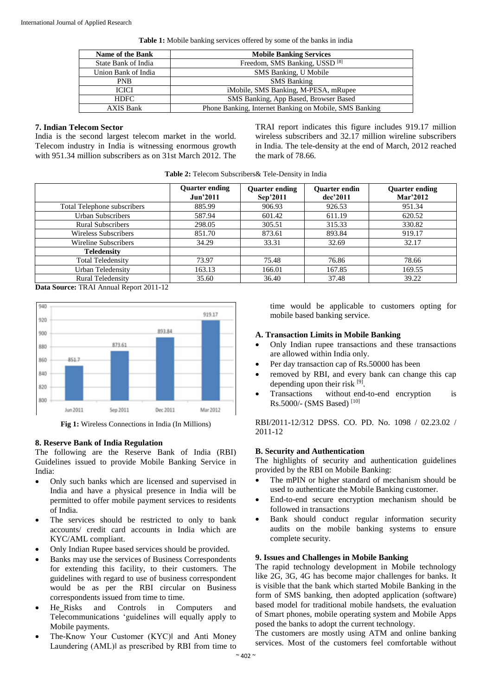**Table 1:** Mobile banking services offered by some of the banks in india

| Name of the Bank    | <b>Mobile Banking Services</b>                         |  |  |  |
|---------------------|--------------------------------------------------------|--|--|--|
| State Bank of India | Freedom, SMS Banking, USSD <sup>[8]</sup>              |  |  |  |
| Union Bank of India | SMS Banking, U Mobile                                  |  |  |  |
| <b>PNB</b>          | <b>SMS Banking</b>                                     |  |  |  |
| <b>ICICI</b>        | iMobile, SMS Banking, M-PESA, mRupee                   |  |  |  |
| <b>HDFC</b>         | SMS Banking, App Based, Browser Based                  |  |  |  |
| <b>AXIS Bank</b>    | Phone Banking, Internet Banking on Mobile, SMS Banking |  |  |  |

#### **7. Indian Telecom Sector**

India is the second largest telecom market in the world. Telecom industry in India is witnessing enormous growth with 951.34 million subscribers as on 31st March 2012. The TRAI report indicates this figure includes 919.17 million wireless subscribers and 32.17 million wireline subscribers in India. The tele-density at the end of March, 2012 reached the mark of 78.66.

| Table 2: Telecom Subscribers & Tele-Density in India |
|------------------------------------------------------|
|------------------------------------------------------|

|                             | <b>Quarter ending</b><br><b>Jun'2011</b> | <b>Quarter ending</b><br>Sep'2011 | <b>Ouarter endin</b><br>$dec$ '2011 | <b>Quarter ending</b><br>Mar'2012 |  |
|-----------------------------|------------------------------------------|-----------------------------------|-------------------------------------|-----------------------------------|--|
| Total Telephone subscribers | 885.99                                   | 906.93                            | 926.53                              | 951.34                            |  |
| Urban Subscribers           | 587.94                                   | 601.42                            | 611.19                              | 620.52                            |  |
| <b>Rural Subscribers</b>    | 298.05                                   | 305.51                            | 315.33                              | 330.82                            |  |
| Wireless Subscribers        | 851.70                                   | 873.61                            | 893.84                              | 919.17                            |  |
| Wireline Subscribers        | 34.29                                    | 33.31                             | 32.69                               | 32.17                             |  |
| <b>Teledensity</b>          |                                          |                                   |                                     |                                   |  |
| <b>Total Teledensity</b>    | 73.97                                    | 75.48                             | 76.86                               | 78.66                             |  |
| Urban Teledensity           | 163.13                                   | 166.01                            | 167.85                              | 169.55                            |  |
| <b>Rural Teledensity</b>    | 35.60                                    | 36.40                             | 37.48                               | 39.22                             |  |

**Data Source:** TRAI Annual Report 2011-12



**Fig 1:** Wireless Connections in India (In Millions)

## **8. Reserve Bank of India Regulation**

The following are the Reserve Bank of India (RBI) Guidelines issued to provide Mobile Banking Service in India:

- Only such banks which are licensed and supervised in India and have a physical presence in India will be permitted to offer mobile payment services to residents of India.
- The services should be restricted to only to bank accounts/ credit card accounts in India which are KYC/AML compliant.
- Only Indian Rupee based services should be provided.
- Banks may use the services of Business Correspondents for extending this facility, to their customers. The guidelines with regard to use of business correspondent would be as per the RBI circular on Business correspondents issued from time to time.
- He Risks and Controls in Computers and Telecommunications 'guidelines will equally apply to Mobile payments.
- The-Know Your Customer (KYC)‖ and Anti Money Laundering (AML)‖ as prescribed by RBI from time to

time would be applicable to customers opting for mobile based banking service.

#### **A. Transaction Limits in Mobile Banking**

- Only Indian rupee transactions and these transactions are allowed within India only.
- Per day transaction cap of Rs.50000 has been
- removed by RBI, and every bank can change this cap depending upon their risk [9].
- Transactions without end-to-end encryption is Rs.5000/- (SMS Based) [10]

RBI/2011-12/312 DPSS. CO. PD. No. 1098 / 02.23.02 / 2011-12

## **B. Security and Authentication**

The highlights of security and authentication guidelines provided by the RBI on Mobile Banking:

- The mPIN or higher standard of mechanism should be used to authenticate the Mobile Banking customer.
- End-to-end secure encryption mechanism should be followed in transactions
- Bank should conduct regular information security audits on the mobile banking systems to ensure complete security.

#### **9. Issues and Challenges in Mobile Banking**

The rapid technology development in Mobile technology like 2G, 3G, 4G has become major challenges for banks. It is visible that the bank which started Mobile Banking in the form of SMS banking, then adopted application (software) based model for traditional mobile handsets, the evaluation of Smart phones, mobile operating system and Mobile Apps posed the banks to adopt the current technology.

The customers are mostly using ATM and online banking services. Most of the customers feel comfortable without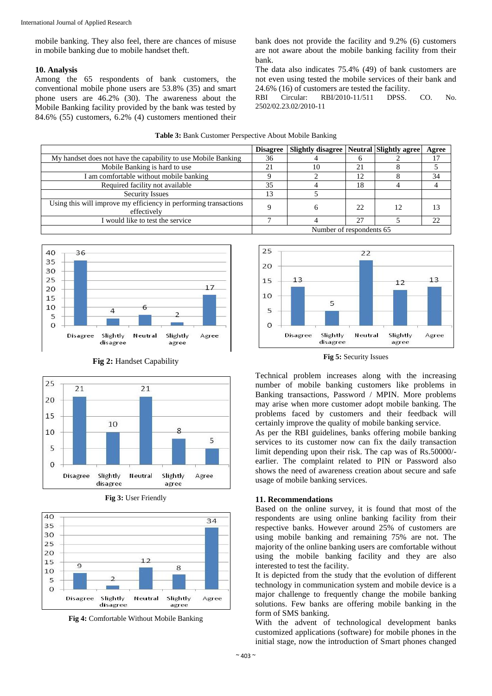mobile banking. They also feel, there are chances of misuse in mobile banking due to mobile handset theft.

## **10. Analysis**

Among the 65 respondents of bank customers, the conventional mobile phone users are 53.8% (35) and smart phone users are 46.2% (30). The awareness about the Mobile Banking facility provided by the bank was tested by 84.6% (55) customers, 6.2% (4) customers mentioned their bank does not provide the facility and 9.2% (6) customers are not aware about the mobile banking facility from their bank.

The data also indicates 75.4% (49) of bank customers are not even using tested the mobile services of their bank and 24.6% (16) of customers are tested the facility.

RBI Circular: RBI/2010-11/511 DPSS. CO. No. 2502/02.23.02/2010-11

|                                                                                 | <b>Disagree</b>          | <b>Slightly disagree   Neutral   Slightly agree</b> |    | Agree |
|---------------------------------------------------------------------------------|--------------------------|-----------------------------------------------------|----|-------|
| My handset does not have the capability to use Mobile Banking                   |                          |                                                     |    |       |
| Mobile Banking is hard to use                                                   |                          | 10                                                  | 21 |       |
| I am comfortable without mobile banking                                         |                          |                                                     | 12 | 34    |
| Required facility not available                                                 |                          |                                                     | 18 |       |
| <b>Security Issues</b>                                                          | 13                       |                                                     |    |       |
| Using this will improve my efficiency in performing transactions<br>effectively |                          | h                                                   | 22 |       |
| I would like to test the service                                                |                          |                                                     | 27 | 22    |
|                                                                                 | Number of respondents 65 |                                                     |    |       |

**Table 3:** Bank Customer Perspective About Mobile Banking





**Fig 2:** Handset Capability





**Fig 4:** Comfortable Without Mobile Banking



**Fig 5:** Security Issues

Technical problem increases along with the increasing number of mobile banking customers like problems in Banking transactions, Password / MPIN. More problems may arise when more customer adopt mobile banking. The problems faced by customers and their feedback will certainly improve the quality of mobile banking service.

As per the RBI guidelines, banks offering mobile banking services to its customer now can fix the daily transaction limit depending upon their risk. The cap was of Rs.50000/ earlier. The complaint related to PIN or Password also shows the need of awareness creation about secure and safe usage of mobile banking services.

#### **11. Recommendations**

Based on the online survey, it is found that most of the respondents are using online banking facility from their respective banks. However around 25% of customers are using mobile banking and remaining 75% are not. The majority of the online banking users are comfortable without using the mobile banking facility and they are also interested to test the facility.

It is depicted from the study that the evolution of different technology in communication system and mobile device is a major challenge to frequently change the mobile banking solutions. Few banks are offering mobile banking in the form of SMS banking.

With the advent of technological development banks customized applications (software) for mobile phones in the initial stage, now the introduction of Smart phones changed